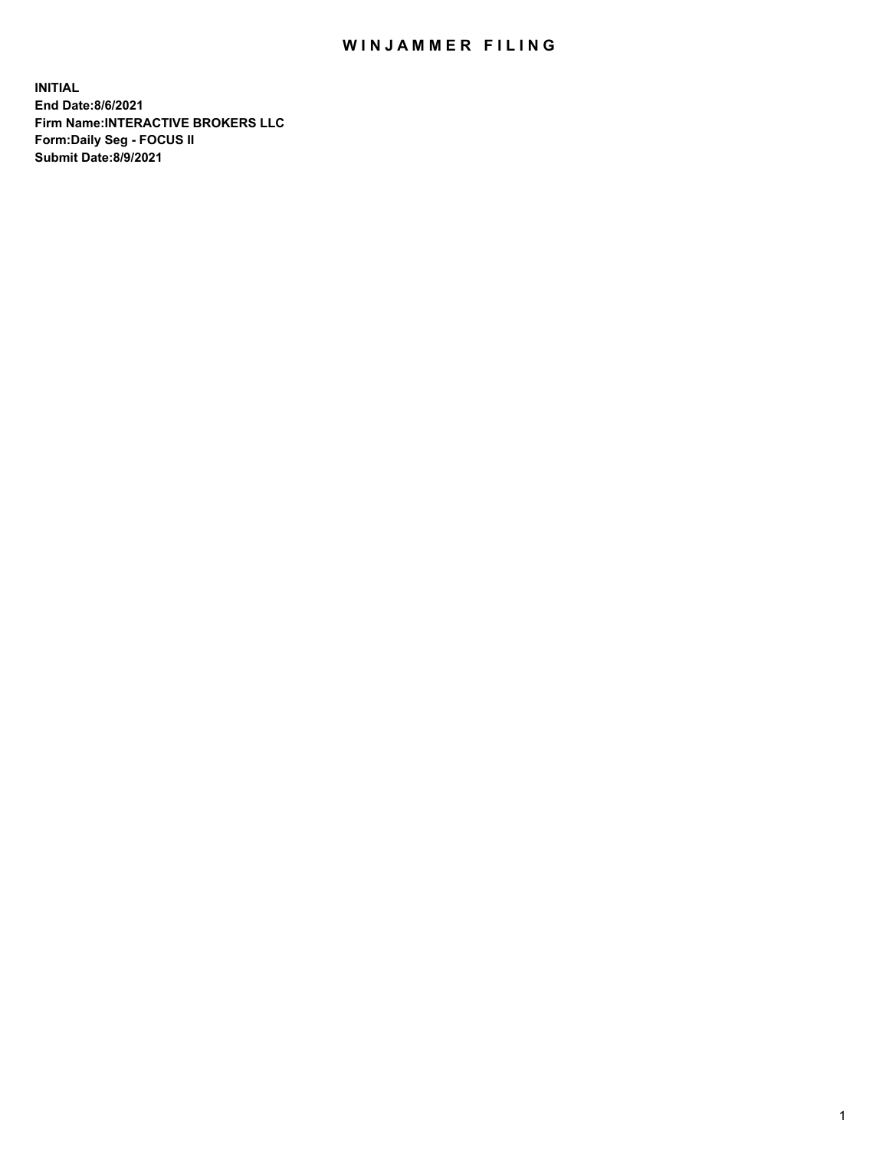## WIN JAMMER FILING

**INITIAL End Date:8/6/2021 Firm Name:INTERACTIVE BROKERS LLC Form:Daily Seg - FOCUS II Submit Date:8/9/2021**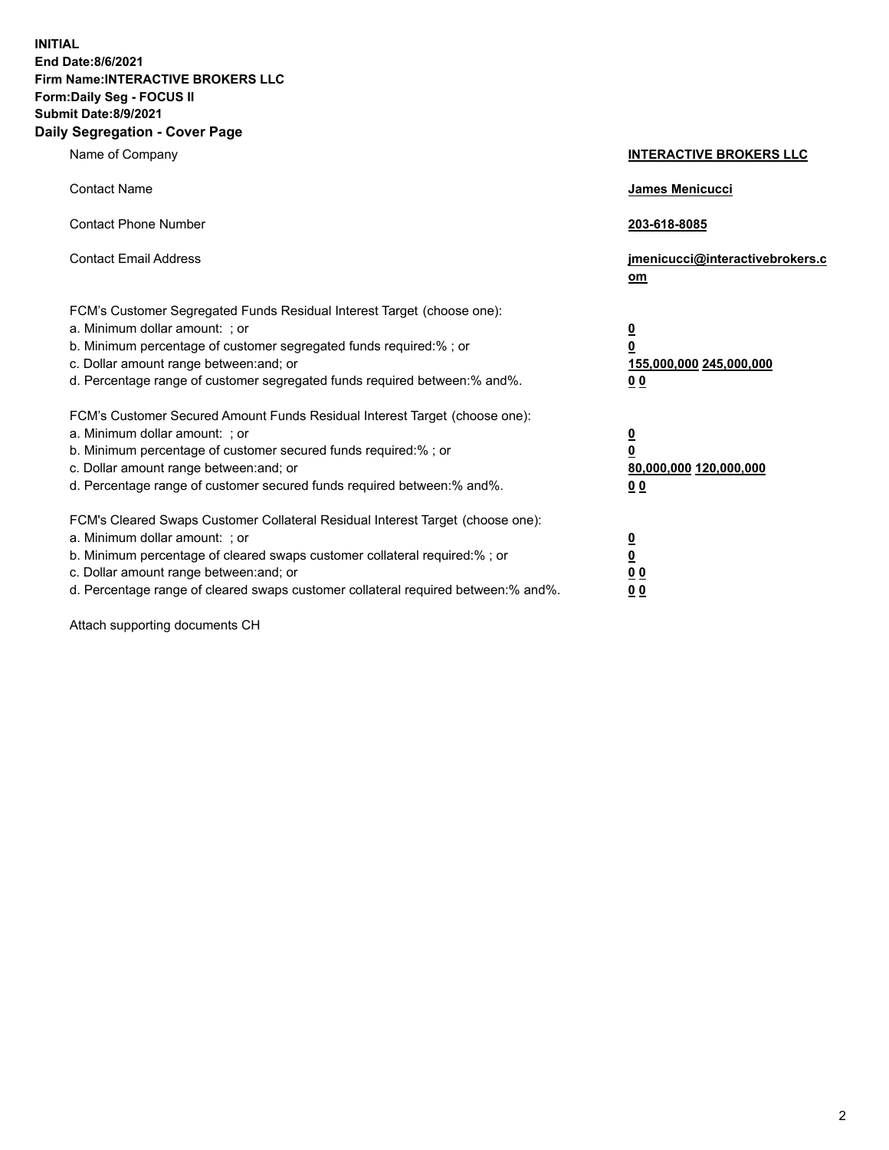**INITIAL End Date:8/6/2021 Firm Name:INTERACTIVE BROKERS LLC Form:Daily Seg - FOCUS II Submit Date:8/9/2021 Daily Segregation - Cover Page**

| Name of Company                                                                                                                                                                                                                                                                                                                | <b>INTERACTIVE BROKERS LLC</b>                                                                  |
|--------------------------------------------------------------------------------------------------------------------------------------------------------------------------------------------------------------------------------------------------------------------------------------------------------------------------------|-------------------------------------------------------------------------------------------------|
| <b>Contact Name</b>                                                                                                                                                                                                                                                                                                            | James Menicucci                                                                                 |
| <b>Contact Phone Number</b>                                                                                                                                                                                                                                                                                                    | 203-618-8085                                                                                    |
| <b>Contact Email Address</b>                                                                                                                                                                                                                                                                                                   | jmenicucci@interactivebrokers.c<br>om                                                           |
| FCM's Customer Segregated Funds Residual Interest Target (choose one):<br>a. Minimum dollar amount: : or<br>b. Minimum percentage of customer segregated funds required:% ; or<br>c. Dollar amount range between: and; or<br>d. Percentage range of customer segregated funds required between:% and%.                         | $\overline{\mathbf{0}}$<br>$\overline{\mathbf{0}}$<br>155,000,000 245,000,000<br>0 <sub>0</sub> |
| FCM's Customer Secured Amount Funds Residual Interest Target (choose one):<br>a. Minimum dollar amount: ; or<br>b. Minimum percentage of customer secured funds required:% ; or<br>c. Dollar amount range between: and; or<br>d. Percentage range of customer secured funds required between:% and%.                           | $\frac{0}{0}$<br>80,000,000 120,000,000<br>00                                                   |
| FCM's Cleared Swaps Customer Collateral Residual Interest Target (choose one):<br>a. Minimum dollar amount: ; or<br>b. Minimum percentage of cleared swaps customer collateral required:% ; or<br>c. Dollar amount range between: and; or<br>d. Percentage range of cleared swaps customer collateral required between:% and%. | $\overline{\mathbf{0}}$<br>$\underline{\mathbf{0}}$<br>0 <sub>0</sub><br>0 <sub>0</sub>         |

Attach supporting documents CH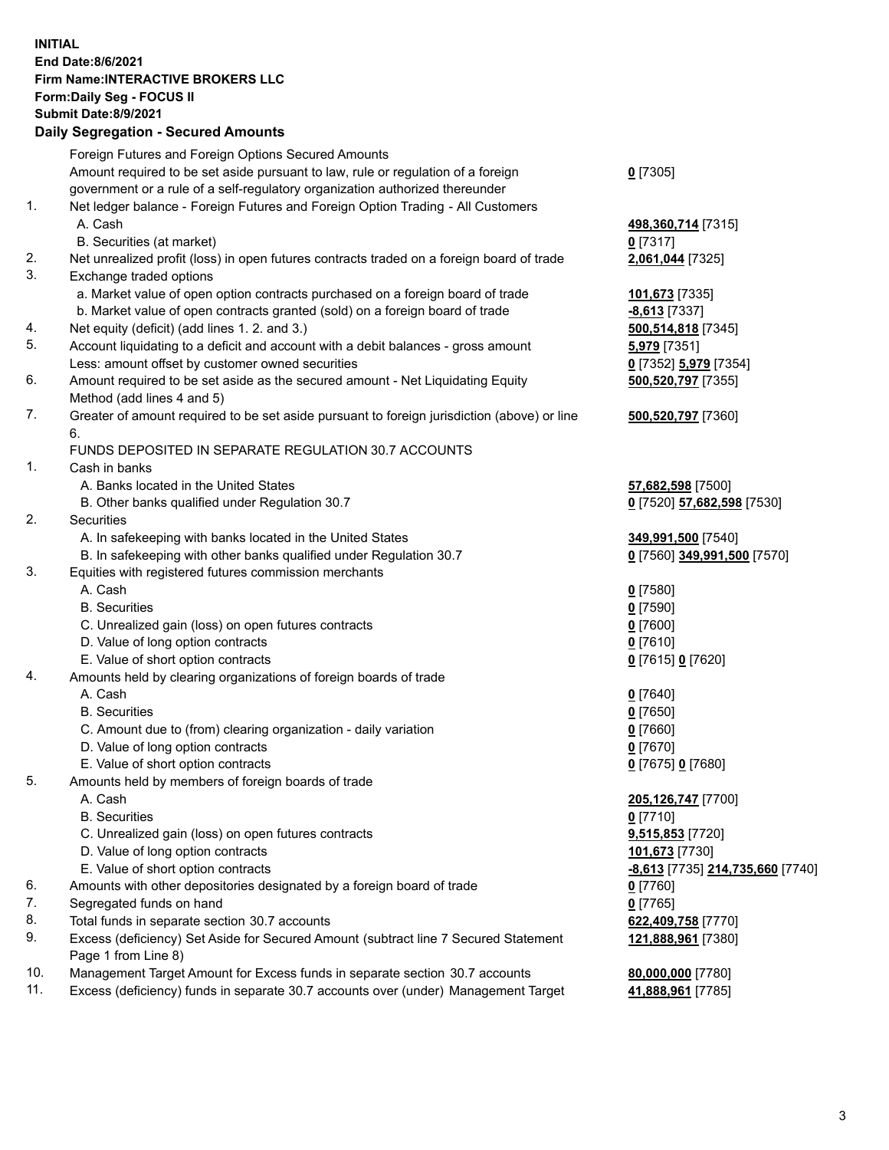## **INITIAL End Date:8/6/2021 Firm Name:INTERACTIVE BROKERS LLC Form:Daily Seg - FOCUS II Submit Date:8/9/2021 Daily Segregation - Secured Amounts**

|                | Dany Ocgregation - Occurea Anioants                                                         |                                  |
|----------------|---------------------------------------------------------------------------------------------|----------------------------------|
|                | Foreign Futures and Foreign Options Secured Amounts                                         |                                  |
|                | Amount required to be set aside pursuant to law, rule or regulation of a foreign            | $0$ [7305]                       |
|                | government or a rule of a self-regulatory organization authorized thereunder                |                                  |
| 1.             | Net ledger balance - Foreign Futures and Foreign Option Trading - All Customers             |                                  |
|                | A. Cash                                                                                     | 498,360,714 [7315]               |
|                | B. Securities (at market)                                                                   | $0$ [7317]                       |
| 2.             | Net unrealized profit (loss) in open futures contracts traded on a foreign board of trade   | 2,061,044 [7325]                 |
| 3.             | Exchange traded options                                                                     |                                  |
|                | a. Market value of open option contracts purchased on a foreign board of trade              | 101,673 [7335]                   |
|                | b. Market value of open contracts granted (sold) on a foreign board of trade                | $-8,613$ [7337]                  |
| 4.             | Net equity (deficit) (add lines 1. 2. and 3.)                                               | 500,514,818 [7345]               |
| 5.             | Account liquidating to a deficit and account with a debit balances - gross amount           | 5,979 [7351]                     |
|                | Less: amount offset by customer owned securities                                            | 0 [7352] 5,979 [7354]            |
| 6.             | Amount required to be set aside as the secured amount - Net Liquidating Equity              | 500,520,797 [7355]               |
|                | Method (add lines 4 and 5)                                                                  |                                  |
| 7.             | Greater of amount required to be set aside pursuant to foreign jurisdiction (above) or line | 500,520,797 [7360]               |
|                | 6.                                                                                          |                                  |
|                | FUNDS DEPOSITED IN SEPARATE REGULATION 30.7 ACCOUNTS                                        |                                  |
| $\mathbf{1}$ . | Cash in banks                                                                               |                                  |
|                | A. Banks located in the United States                                                       | 57,682,598 [7500]                |
|                | B. Other banks qualified under Regulation 30.7                                              | 0 [7520] 57,682,598 [7530]       |
| 2.             | Securities                                                                                  |                                  |
|                | A. In safekeeping with banks located in the United States                                   | 349,991,500 [7540]               |
|                | B. In safekeeping with other banks qualified under Regulation 30.7                          | 0 [7560] 349,991,500 [7570]      |
| 3.             | Equities with registered futures commission merchants                                       |                                  |
|                | A. Cash                                                                                     | $0$ [7580]                       |
|                | <b>B.</b> Securities                                                                        | $0$ [7590]                       |
|                | C. Unrealized gain (loss) on open futures contracts                                         | $0$ [7600]                       |
|                | D. Value of long option contracts                                                           | $0$ [7610]                       |
|                | E. Value of short option contracts                                                          | 0 [7615] 0 [7620]                |
| 4.             | Amounts held by clearing organizations of foreign boards of trade                           |                                  |
|                | A. Cash                                                                                     | $0$ [7640]                       |
|                | <b>B.</b> Securities                                                                        | $0$ [7650]                       |
|                | C. Amount due to (from) clearing organization - daily variation                             | $0$ [7660]                       |
|                | D. Value of long option contracts                                                           | $0$ [7670]                       |
|                | E. Value of short option contracts                                                          | 0 [7675] 0 [7680]                |
| 5.             | Amounts held by members of foreign boards of trade                                          |                                  |
|                | A. Cash                                                                                     | 205,126,747 [7700]               |
|                | <b>B.</b> Securities                                                                        | $0$ [7710]                       |
|                | C. Unrealized gain (loss) on open futures contracts                                         | 9,515,853 [7720]                 |
|                | D. Value of long option contracts                                                           | 101,673 [7730]                   |
|                | E. Value of short option contracts                                                          | -8,613 [7735] 214,735,660 [7740] |
| 6.             | Amounts with other depositories designated by a foreign board of trade                      | 0 [7760]                         |
| 7.             | Segregated funds on hand                                                                    | $0$ [7765]                       |
| 8.             | Total funds in separate section 30.7 accounts                                               | 622,409,758 [7770]               |
| 9.             | Excess (deficiency) Set Aside for Secured Amount (subtract line 7 Secured Statement         | 121,888,961 [7380]               |
|                | Page 1 from Line 8)                                                                         |                                  |
| 10.            | Management Target Amount for Excess funds in separate section 30.7 accounts                 | 80,000,000 [7780]                |
| 11.            | Excess (deficiency) funds in separate 30.7 accounts over (under) Management Target          | 41,888,961 [7785]                |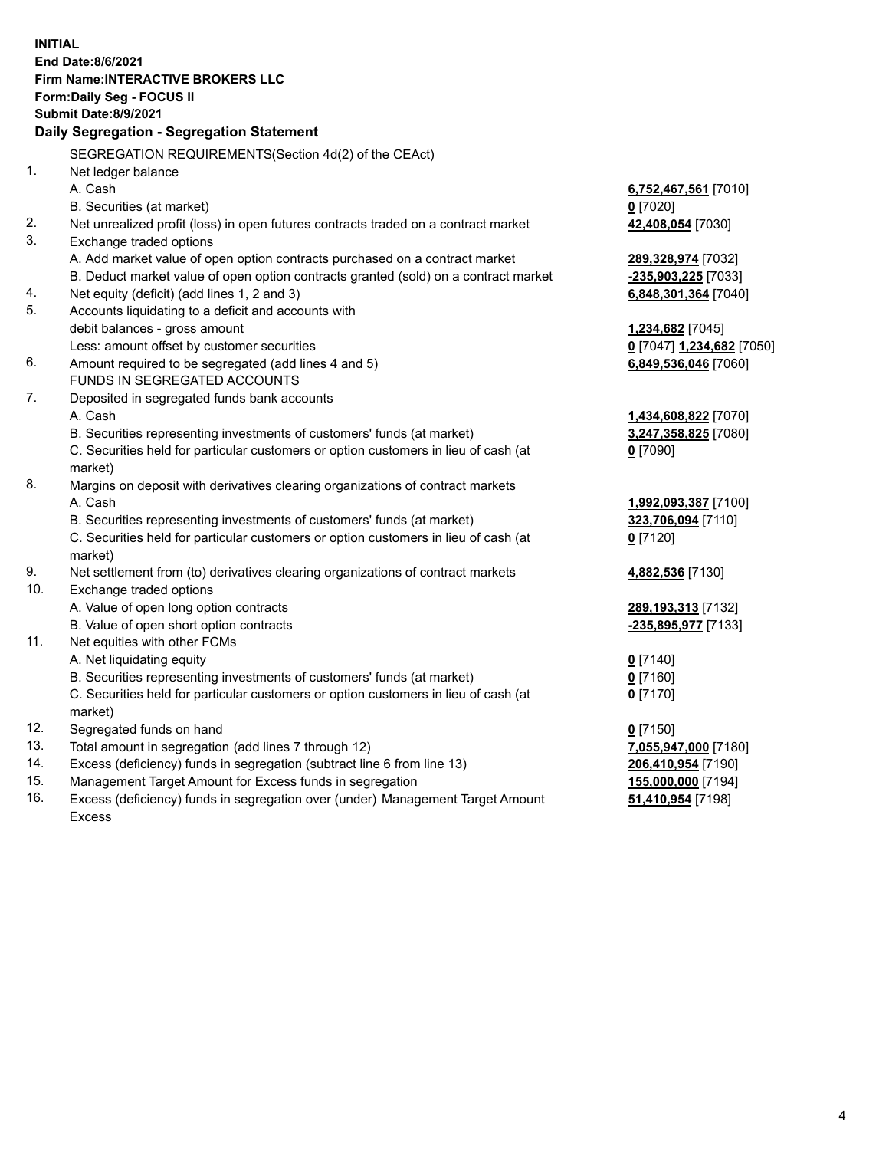**INITIAL End Date:8/6/2021 Firm Name:INTERACTIVE BROKERS LLC Form:Daily Seg - FOCUS II Submit Date:8/9/2021 Daily Segregation - Segregation Statement** SEGREGATION REQUIREMENTS(Section 4d(2) of the CEAct) 1. Net ledger balance A. Cash **6,752,467,561** [7010] B. Securities (at market) **0** [7020] 2. Net unrealized profit (loss) in open futures contracts traded on a contract market **42,408,054** [7030] 3. Exchange traded options A. Add market value of open option contracts purchased on a contract market **289,328,974** [7032] B. Deduct market value of open option contracts granted (sold) on a contract market **-235,903,225** [7033] 4. Net equity (deficit) (add lines 1, 2 and 3) **6,848,301,364** [7040] 5. Accounts liquidating to a deficit and accounts with debit balances - gross amount **1,234,682** [7045] Less: amount offset by customer securities **0** [7047] **1,234,682** [7050] 6. Amount required to be segregated (add lines 4 and 5) **6,849,536,046** [7060] FUNDS IN SEGREGATED ACCOUNTS 7. Deposited in segregated funds bank accounts A. Cash **1,434,608,822** [7070] B. Securities representing investments of customers' funds (at market) **3,247,358,825** [7080] C. Securities held for particular customers or option customers in lieu of cash (at market) **0** [7090] 8. Margins on deposit with derivatives clearing organizations of contract markets A. Cash **1,992,093,387** [7100] B. Securities representing investments of customers' funds (at market) **323,706,094** [7110] C. Securities held for particular customers or option customers in lieu of cash (at market) **0** [7120] 9. Net settlement from (to) derivatives clearing organizations of contract markets **4,882,536** [7130] 10. Exchange traded options A. Value of open long option contracts **289,193,313** [7132] B. Value of open short option contracts **-235,895,977** [7133] 11. Net equities with other FCMs A. Net liquidating equity **0** [7140] B. Securities representing investments of customers' funds (at market) **0** [7160] C. Securities held for particular customers or option customers in lieu of cash (at market) **0** [7170] 12. Segregated funds on hand **0** [7150] 13. Total amount in segregation (add lines 7 through 12) **7,055,947,000** [7180] 14. Excess (deficiency) funds in segregation (subtract line 6 from line 13) **206,410,954** [7190] 15. Management Target Amount for Excess funds in segregation **155,000,000** [7194]

16. Excess (deficiency) funds in segregation over (under) Management Target Amount Excess

**51,410,954** [7198]